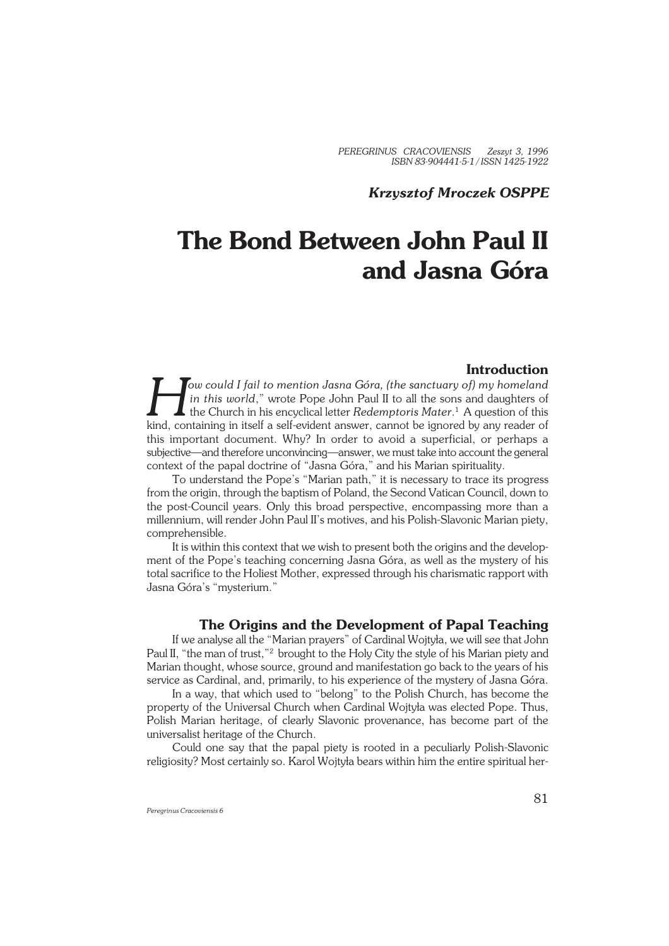*PEREGRINUS CRACOVIENSIS Zeszyt 3, 1996 ISBN 83−904441−5−1 / ISSN 1425−1922*

## *Krzysztof Mroczek OSPPE*

# **The Bond Between John Paul II and Jasna Góra**

## **Introduction**

**H** *H H H H H H in this world,"* wrote Pope John Paul II to all the sons and daughters of the Church in his encyclical letter Redemptoris Mater.<sup>1</sup> A question of this kind, containing in itself a self-evident *ow could I fail to mention Jasna Góra, (the sanctuary of) my homeland in this world*," wrote Pope John Paul II to all the sons and daughters of the Church in his encyclical letter *Redemptoris Mater*. 1 A question of this this important document. Why? In order to avoid a superficial, or perhaps a subjective—and therefore unconvincing—answer, we must take into account the general context of the papal doctrine of "Jasna Góra," and his Marian spirituality.

To understand the Pope's "Marian path," it is necessary to trace its progress from the origin, through the baptism of Poland, the Second Vatican Council, down to the post−Council years. Only this broad perspective, encompassing more than a millennium, will render John Paul II's motives, and his Polish−Slavonic Marian piety, comprehensible.

It is within this context that we wish to present both the origins and the develop− ment of the Pope's teaching concerning Jasna Góra, as well as the mystery of his total sacrifice to the Holiest Mother, expressed through his charismatic rapport with Jasna Góra's "mysterium."

# **The Origins and the Development of Papal Teaching**

If we analyse all the "Marian prayers" of Cardinal Wojtyła, we will see that John Paul II, "the man of trust,"<sup>2</sup> brought to the Holy City the style of his Marian piety and Marian thought, whose source, ground and manifestation go back to the years of his service as Cardinal, and, primarily, to his experience of the mystery of Jasna Góra.

In a way, that which used to "belong" to the Polish Church, has become the property of the Universal Church when Cardinal Wojtyła was elected Pope. Thus, Polish Marian heritage, of clearly Slavonic provenance, has become part of the universalist heritage of the Church.

Could one say that the papal piety is rooted in a peculiarly Polish−Slavonic religiosity? Most certainly so. Karol Wojtyła bears within him the entire spiritual her−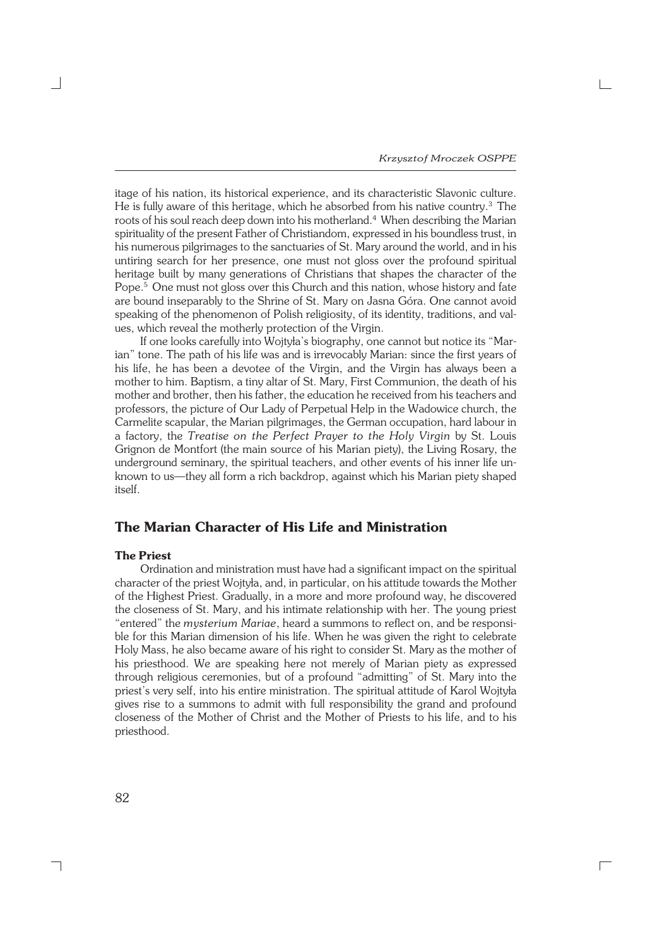$\Box$ 

itage of his nation, its historical experience, and its characteristic Slavonic culture. He is fully aware of this heritage, which he absorbed from his native country.<sup>3</sup> The roots of his soul reach deep down into his motherland.<sup>4</sup> When describing the Marian spirituality of the present Father of Christiandom, expressed in his boundless trust, in his numerous pilgrimages to the sanctuaries of St. Mary around the world, and in his untiring search for her presence, one must not gloss over the profound spiritual heritage built by many generations of Christians that shapes the character of the Pope.<sup>5</sup> One must not gloss over this Church and this nation, whose history and fate are bound inseparably to the Shrine of St. Mary on Jasna Góra. One cannot avoid speaking of the phenomenon of Polish religiosity, of its identity, traditions, and val− ues, which reveal the motherly protection of the Virgin.

If one looks carefully into Wojtyła's biography, one cannot but notice its "Mar− ian" tone. The path of his life was and is irrevocably Marian: since the first years of his life, he has been a devotee of the Virgin, and the Virgin has always been a mother to him. Baptism, a tiny altar of St. Mary, First Communion, the death of his mother and brother, then his father, the education he received from his teachers and professors, the picture of Our Lady of Perpetual Help in the Wadowice church, the Carmelite scapular, the Marian pilgrimages, the German occupation, hard labour in a factory, the *Treatise on the Perfect Prayer to the Holy Virgin* by St. Louis Grignon de Montfort (the main source of his Marian piety), the Living Rosary, the underground seminary, the spiritual teachers, and other events of his inner life un− known to us—they all form a rich backdrop, against which his Marian piety shaped itself.

# **The Marian Character of His Life and Ministration**

#### **The Priest**

Ordination and ministration must have had a significant impact on the spiritual character of the priest Wojtyła, and, in particular, on his attitude towards the Mother of the Highest Priest. Gradually, in a more and more profound way, he discovered the closeness of St. Mary, and his intimate relationship with her. The young priest "entered" the *mysterium Mariae*, heard a summons to reflect on, and be responsi− ble for this Marian dimension of his life. When he was given the right to celebrate Holy Mass, he also became aware of his right to consider St. Mary as the mother of his priesthood. We are speaking here not merely of Marian piety as expressed through religious ceremonies, but of a profound "admitting" of St. Mary into the priest's very self, into his entire ministration. The spiritual attitude of Karol Wojtyła gives rise to a summons to admit with full responsibility the grand and profound closeness of the Mother of Christ and the Mother of Priests to his life, and to his priesthood.

┑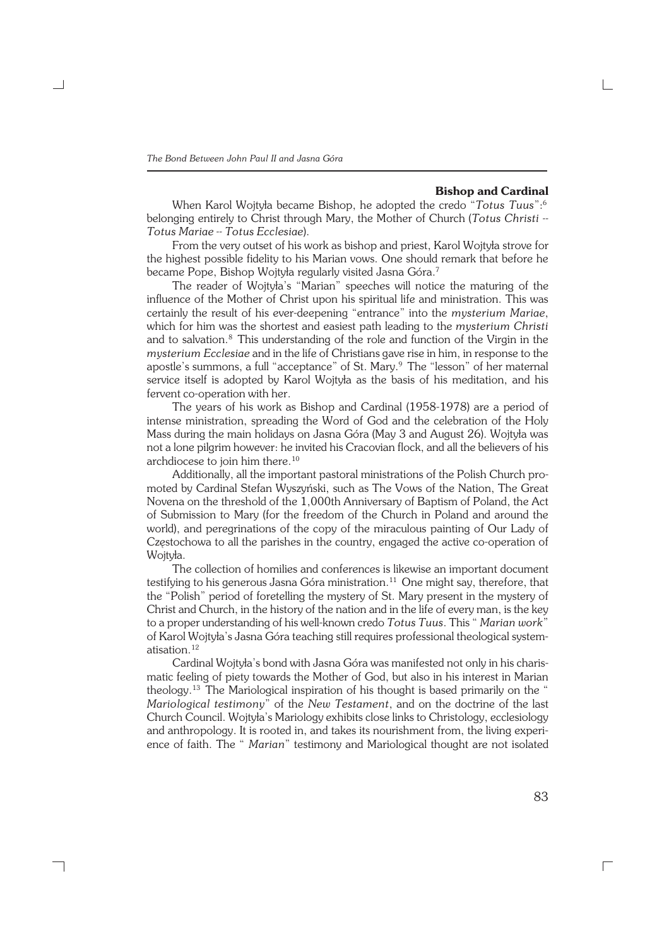### **Bishop and Cardinal**

When Karol Wojtyła became Bishop, he adopted the credo "*Totus Tuus*":<sup>6</sup> belonging entirely to Christ through Mary, the Mother of Church (*Totus Christi −− Totus Mariae −− Totus Ecclesiae*).

From the very outset of his work as bishop and priest, Karol Wojtyła strove for the highest possible fidelity to his Marian vows. One should remark that before he became Pope, Bishop Wojtyła regularly visited Jasna Góra.<sup>7</sup>

The reader of Wojtyła's "Marian" speeches will notice the maturing of the influence of the Mother of Christ upon his spiritual life and ministration. This was certainly the result of his ever−deepening "entrance" into the *mysterium Mariae*, which for him was the shortest and easiest path leading to the *mysterium Christi* and to salvation.<sup>8</sup> This understanding of the role and function of the Virgin in the *mysterium Ecclesiae* and in the life of Christians gave rise in him, in response to the apostle's summons, a full "acceptance" of St. Mary.<sup>9</sup> The "lesson" of her maternal service itself is adopted by Karol Wojtyła as the basis of his meditation, and his fervent co−operation with her.

The years of his work as Bishop and Cardinal (1958−1978) are a period of intense ministration, spreading the Word of God and the celebration of the Holy Mass during the main holidays on Jasna Góra (May 3 and August 26). Wojtyła was not a lone pilgrim however: he invited his Cracovian flock, and all the believers of his archdiocese to join him there.<sup>10</sup>

Additionally, all the important pastoral ministrations of the Polish Church pro− moted by Cardinal Stefan Wyszyński, such as The Vows of the Nation, The Great Novena on the threshold of the 1,000th Anniversary of Baptism of Poland, the Act of Submission to Mary (for the freedom of the Church in Poland and around the world), and peregrinations of the copy of the miraculous painting of Our Lady of Częstochowa to all the parishes in the country, engaged the active co−operation of Wojtyła.

The collection of homilies and conferences is likewise an important document testifying to his generous Jasna Góra ministration.<sup>11</sup> One might say, therefore, that the "Polish" period of foretelling the mystery of St. Mary present in the mystery of Christ and Church, in the history of the nation and in the life of every man, is the key to a proper understanding of his well−known credo *Totus Tuus*. This " *Marian work*" of Karol Wojtyła's Jasna Góra teaching still requires professional theological system− atisation.<sup>12</sup>

Cardinal Wojtyła's bond with Jasna Góra was manifested not only in his charis− matic feeling of piety towards the Mother of God, but also in his interest in Marian theology.<sup>13</sup> The Mariological inspiration of his thought is based primarily on the " *Mariological testimony*" of the *New Testament*, and on the doctrine of the last Church Council. Wojtyła's Mariology exhibits close links to Christology, ecclesiology and anthropology. It is rooted in, and takes its nourishment from, the living experi− ence of faith. The " *Marian*" testimony and Mariological thought are not isolated

┐

 $\Box$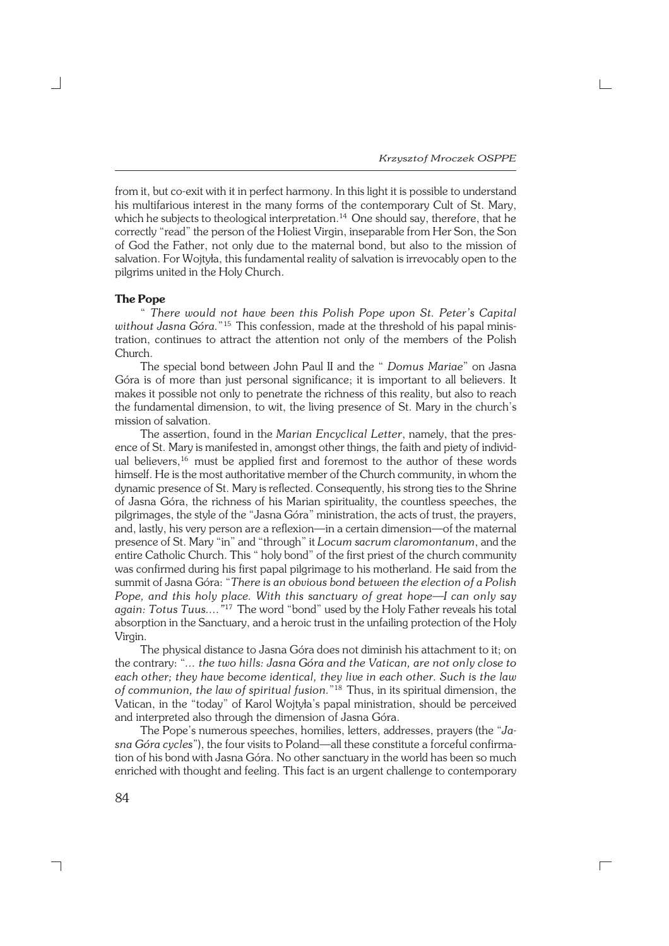$\Box$ 

from it, but co−exit with it in perfect harmony. In this light it is possible to understand his multifarious interest in the many forms of the contemporary Cult of St. Mary, which he subjects to theological interpretation.<sup>14</sup> One should say, therefore, that he correctly "read" the person of the Holiest Virgin, inseparable from Her Son, the Son of God the Father, not only due to the maternal bond, but also to the mission of salvation. For Wojtyła, this fundamental reality of salvation is irrevocably open to the pilgrims united in the Holy Church.

#### **The Pope**

" *There would not have been this Polish Pope upon St. Peter's Capital without Jasna Góra.*"<sup>15</sup> This confession, made at the threshold of his papal ministration, continues to attract the attention not only of the members of the Polish Church.

The special bond between John Paul II and the " *Domus Mariae*" on Jasna Góra is of more than just personal significance; it is important to all believers. It makes it possible not only to penetrate the richness of this reality, but also to reach the fundamental dimension, to wit, the living presence of St. Mary in the church's mission of salvation.

The assertion, found in the *Marian Encyclical Letter*, namely, that the pres− ence of St. Mary is manifested in, amongst other things, the faith and piety of individ− ual believers,<sup>16</sup> must be applied first and foremost to the author of these words himself. He is the most authoritative member of the Church community, in whom the dynamic presence of St. Mary is reflected. Consequently, his strong ties to the Shrine of Jasna Góra, the richness of his Marian spirituality, the countless speeches, the pilgrimages, the style of the "Jasna Góra" ministration, the acts of trust, the prayers, and, lastly, his very person are a reflexion—in a certain dimension—of the maternal presence of St. Mary "in" and "through" it *Locum sacrum claromontanum*, and the entire Catholic Church. This " holy bond" of the first priest of the church community was confirmed during his first papal pilgrimage to his motherland. He said from the summit of Jasna Góra: "*There is an obvious bond between the election of a Polish Pope, and this holy place. With this sanctuary of great hope—I can only say again: Totus Tuus...."*<sup>17</sup> The word "bond" used by the Holy Father reveals his total absorption in the Sanctuary, and a heroic trust in the unfailing protection of the Holy Virgin.

The physical distance to Jasna Góra does not diminish his attachment to it; on the contrary: "*... the two hills: Jasna Góra and the Vatican, are not only close to each other; they have become identical, they live in each other. Such is the law of communion, the law of spiritual fusion.*" <sup>18</sup> Thus, in its spiritual dimension, the Vatican, in the "today" of Karol Wojtyła's papal ministration, should be perceived and interpreted also through the dimension of Jasna Góra.

The Pope's numerous speeches, homilies, letters, addresses, prayers (the "*Ja− sna Góra cycles*"), the four visits to Poland—all these constitute a forceful confirma− tion of his bond with Jasna Góra. No other sanctuary in the world has been so much enriched with thought and feeling. This fact is an urgent challenge to contemporary

┑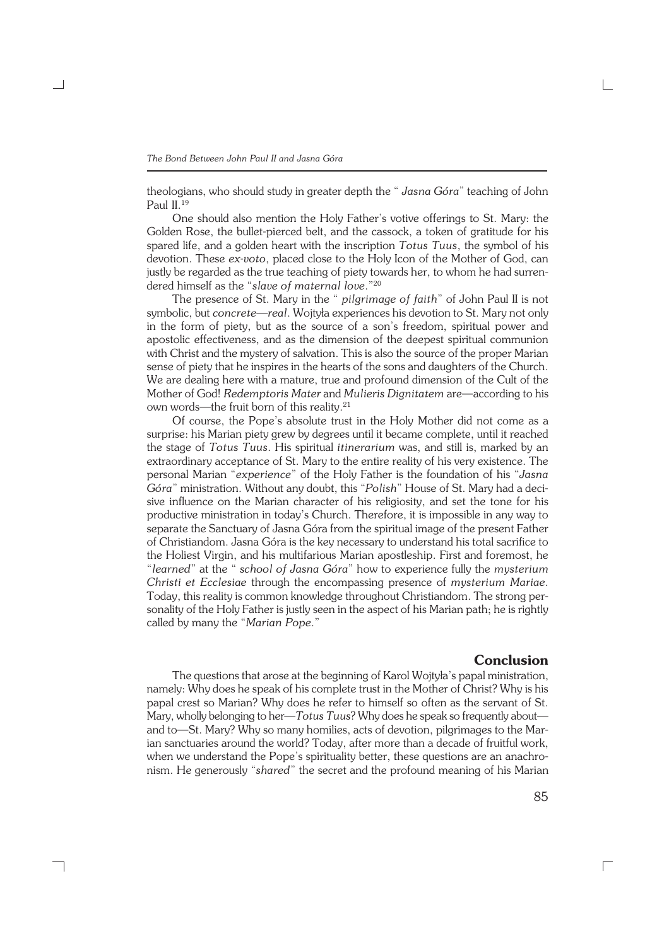theologians, who should study in greater depth the " *Jasna Góra*" teaching of John Paul II.<sup>19</sup>

One should also mention the Holy Father's votive offerings to St. Mary: the Golden Rose, the bullet−pierced belt, and the cassock, a token of gratitude for his spared life, and a golden heart with the inscription *Totus Tuus*, the symbol of his devotion. These *ex−voto*, placed close to the Holy Icon of the Mother of God, can justly be regarded as the true teaching of piety towards her, to whom he had surren− dered himself as the "*slave of maternal love*."<sup>20</sup>

The presence of St. Mary in the " *pilgrimage of faith*" of John Paul II is not symbolic, but *concrete—real*. Wojtyła experiences his devotion to St. Mary not only in the form of piety, but as the source of a son's freedom, spiritual power and apostolic effectiveness, and as the dimension of the deepest spiritual communion with Christ and the mystery of salvation. This is also the source of the proper Marian sense of piety that he inspires in the hearts of the sons and daughters of the Church. We are dealing here with a mature, true and profound dimension of the Cult of the Mother of God! *Redemptoris Mater* and *Mulieris Dignitatem* are—according to his own words—the fruit born of this reality.<sup>21</sup>

Of course, the Pope's absolute trust in the Holy Mother did not come as a surprise: his Marian piety grew by degrees until it became complete, until it reached the stage of *Totus Tuus*. His spiritual *itinerarium* was, and still is, marked by an extraordinary acceptance of St. Mary to the entire reality of his very existence. The personal Marian "*experience*" of the Holy Father is the foundation of his "*Jasna Góra*" ministration. Without any doubt, this "*Polish*" House of St. Mary had a deci− sive influence on the Marian character of his religiosity, and set the tone for his productive ministration in today's Church. Therefore, it is impossible in any way to separate the Sanctuary of Jasna Góra from the spiritual image of the present Father of Christiandom. Jasna Góra is the key necessary to understand his total sacrifice to the Holiest Virgin, and his multifarious Marian apostleship. First and foremost, he "*learned*" at the " *school of Jasna Góra*" how to experience fully the *mysterium Christi et Ecclesiae* through the encompassing presence of *mysterium Mariae*. Today, this reality is common knowledge throughout Christiandom. The strong per− sonality of the Holy Father is justly seen in the aspect of his Marian path; he is rightly called by many the "*Marian Pope*."

## **Conclusion**

The questions that arose at the beginning of Karol Wojtyła's papal ministration, namely: Why does he speak of his complete trust in the Mother of Christ? Why is his papal crest so Marian? Why does he refer to himself so often as the servant of St. Mary, wholly belonging to her—*Totus Tuus*? Why does he speak so frequently about and to—St. Mary? Why so many homilies, acts of devotion, pilgrimages to the Mar− ian sanctuaries around the world? Today, after more than a decade of fruitful work, when we understand the Pope's spirituality better, these questions are an anachronism. He generously "*shared*" the secret and the profound meaning of his Marian

┐

85

 $\Box$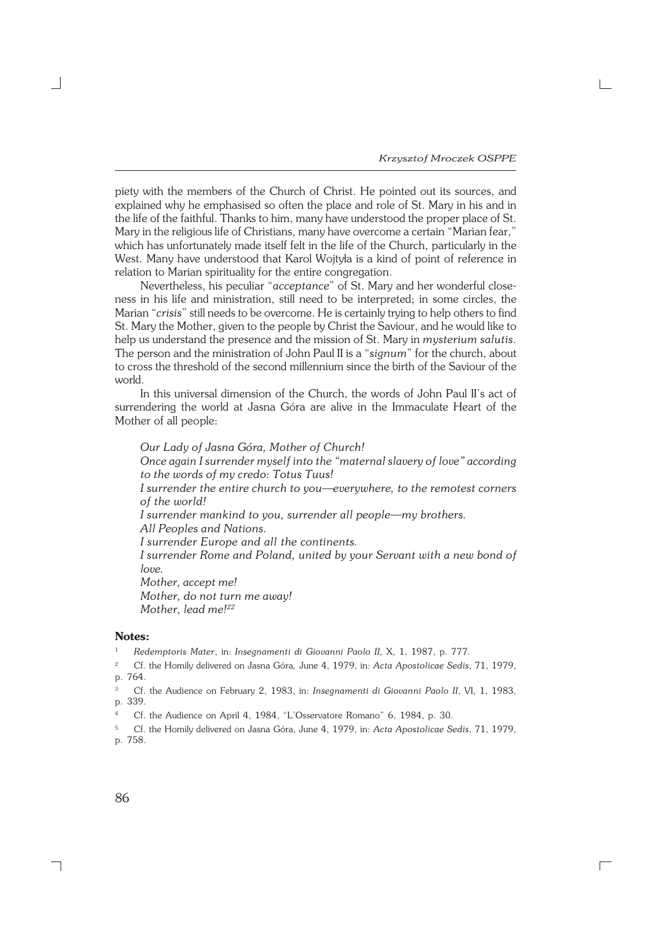$\Gamma$ 

piety with the members of the Church of Christ. He pointed out its sources, and explained why he emphasised so often the place and role of St. Mary in his and in the life of the faithful. Thanks to him, many have understood the proper place of St. Mary in the religious life of Christians, many have overcome a certain "Marian fear," which has unfortunately made itself felt in the life of the Church, particularly in the West. Many have understood that Karol Wojtyła is a kind of point of reference in relation to Marian spirituality for the entire congregation.

Nevertheless, his peculiar "*acceptance*" of St. Mary and her wonderful close− ness in his life and ministration, still need to be interpreted; in some circles, the Marian "*crisis*" still needs to be overcome. He is certainly trying to help others to find St. Mary the Mother, given to the people by Christ the Saviour, and he would like to help us understand the presence and the mission of St. Mary in *mysterium salutis*. The person and the ministration of John Paul II is a "*signum*" for the church, about to cross the threshold of the second millennium since the birth of the Saviour of the world.

In this universal dimension of the Church, the words of John Paul II's act of surrendering the world at Jasna Góra are alive in the Immaculate Heart of the Mother of all people:

*Our Lady of Jasna Góra, Mother of Church! Once again I surrender myself into the "maternal slavery of love" according to the words of my credo: Totus Tuus! I surrender the entire church to you—everywhere, to the remotest corners of the world! I surrender mankind to you, surrender all people—my brothers. All Peoples and Nations. I surrender Europe and all the continents. I surrender Rome and Poland, united by your Servant with a new bond of love. Mother, accept me! Mother, do not turn me away! Mother, lead me!<sup>22</sup>*

#### **Notes:**

<sup>1</sup> *Redemptoris Mater*, in: *Insegnamenti di Giovanni Paolo II,* X, 1, 1987, p. 777.

<sup>2</sup> Cf. the Homily delivered on Jasna Góra*,* June 4, 1979, in: *Acta Apostolicae Sedis*, 71, 1979, p. 764.

<sup>3</sup> Cf. the Audience on February 2, 1983, in: *Insegnamenti di Giovanni Paolo II*, VI, 1, 1983, p. 339.

Cf. the Audience on April 4, 1984, "L'Osservatore Romano" 6, 1984, p. 30.

<sup>5</sup> Cf. the Homily delivered on Jasna Góra, June 4, 1979, in: *Acta Apostolicae Sedis*, 71, 1979, p. 758.

┑